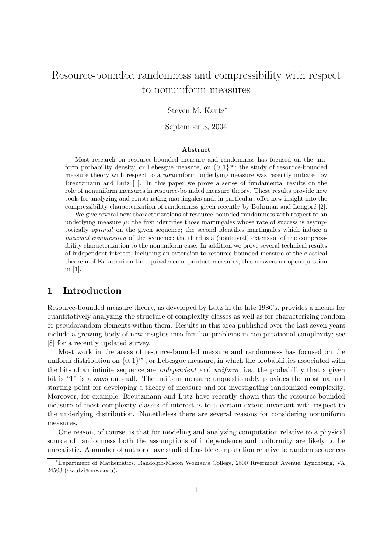# Resource-bounded randomness and compressibility with respect to nonuniform measures

### Steven M. Kautz<sup>∗</sup>

### September 3, 2004

#### Abstract

Most research on resource-bounded measure and randomness has focused on the uniform probability density, or Lebesgue measure, on  $\{0, 1\}^{\infty}$ ; the study of resource-bounded measure theory with respect to a nonuniform underlying measure was recently initiated by Breutzmann and Lutz [1]. In this paper we prove a series of fundamental results on the role of nonuniform measures in resource-bounded measure theory. These results provide new tools for analyzing and constructing martingales and, in particular, offer new insight into the compressibility characterization of randomness given recently by Buhrman and Longpré [2].

We give several new characterizations of resource-bounded randomness with respect to an underlying measure  $\mu$ : the first identifies those martingales whose rate of success is asymptotically optimal on the given sequence; the second identifies martingales which induce a maximal compression of the sequence; the third is a (nontrivial) extension of the compressibility characterization to the nonuniform case. In addition we prove several technical results of independent interest, including an extension to resource-bounded measure of the classical theorem of Kakutani on the equivalence of product measures; this answers an open question in [1].

## 1 Introduction

Resource-bounded measure theory, as developed by Lutz in the late 1980's, provides a means for quantitatively analyzing the structure of complexity classes as well as for characterizing random or pseudorandom elements within them. Results in this area published over the last seven years include a growing body of new insights into familiar problems in computational complexity; see [8] for a recently updated survey.

Most work in the areas of resource-bounded measure and randomness has focused on the uniform distribution on  $\{0,1\}^{\infty}$ , or Lebesgue measure, in which the probabilities associated with the bits of an infinite sequence are independent and uniform; i.e., the probability that a given bit is "1" is always one-half. The uniform measure unquestionably provides the most natural starting point for developing a theory of measure and for investigating randomized complexity. Moreover, for example, Breutzmann and Lutz have recently shown that the resource-bounded measure of most complexity classes of interest is to a certain extent invariant with respect to the underlying distribution. Nonetheless there are several reasons for considering nonuniform measures.

One reason, of course, is that for modeling and analyzing computation relative to a physical source of randomness both the assumptions of independence and uniformity are likely to be unrealistic. A number of authors have studied feasible computation relative to random sequences

<sup>∗</sup>Department of Mathematics, Randolph-Macon Woman's College, 2500 Rivermont Avenue, Lynchburg, VA 24503 (skautz@rmwc.edu).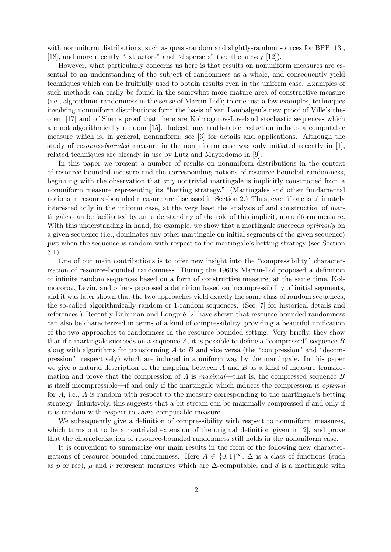with nonuniform distributions, such as quasi-random and slightly-random sources for BPP [13], [18], and more recently "extractors" and "dispersers" (see the survey [12]).

However, what particularly concerns us here is that results on nonuniform measures are essential to an understanding of the subject of randomness as a whole, and consequently yield techniques which can be fruitfully used to obtain results even in the uniform case. Examples of such methods can easily be found in the somewhat more mature area of constructive measure  $(i.e., algorithmic randomness in the sense of Martin-Löf);$  to cite just a few examples, techniques involving nonuniform distributions form the basis of van Lambalgen's new proof of Ville's theorem [17] and of Shen's proof that there are Kolmogorov-Loveland stochastic sequences which are not algorithmically random [15]. Indeed, any truth-table reduction induces a computable measure which is, in general, nonuniform; see [6] for details and applications. Although the study of resource-bounded measure in the nonuniform case was only initiated recently in  $[1]$ , related techniques are already in use by Lutz and Mayordomo in [9].

In this paper we present a number of results on nonuniform distributions in the context of resource-bounded measure and the corresponding notions of resource-bounded randomness, beginning with the observation that any nontrivial martingale is implicitly constructed from a nonuniform measure representing its "betting strategy." (Martingales and other fundamental notions in resource-bounded measure are discussed in Section 2.) Thus, even if one is ultimately interested only in the uniform case, at the very least the analysis of and construction of martingales can be facilitated by an understanding of the role of this implicit, nonuniform measure. With this understanding in hand, for example, we show that a martingale succeeds *optimally* on a given sequence (i.e., dominates any other martingale on initial segments of the given sequence) just when the sequence is random with respect to the martingale's betting strategy (see Section 3.1).

One of our main contributions is to offer new insight into the "compressibility" characterization of resource-bounded randomness. During the 1960's Martin-Löf proposed a definition of infinite random sequences based on a form of constructive measure; at the same time, Kolmogorov, Levin, and others proposed a definition based on incompressibility of initial segments, and it was later shown that the two approaches yield exactly the same class of random sequences, the so-called algorithmically random or 1-random sequences. (See [7] for historical details and references.) Recently Buhrman and Longpré [2] have shown that resource-bounded randomness can also be characterized in terms of a kind of compressibility, providing a beautiful unification of the two approaches to randomness in the resource-bounded setting. Very briefly, they show that if a martingale succeeds on a sequence A, it is possible to define a "compressed" sequence  $B$ along with algorithms for transforming  $A$  to  $B$  and vice versa (the "compression" and "decompression", respectively) which are induced in a uniform way by the martingale. In this paper we give a natural description of the mapping between  $A$  and  $B$  as a kind of measure transformation and prove that the compression of A is maximal—that is, the compressed sequence B is itself incompressible—if and only if the martingale which induces the compression is optimal for A, i.e., A is random with respect to the measure corresponding to the martingale's betting strategy. Intuitively, this suggests that a bit stream can be maximally compressed if and only if it is random with respect to some computable measure.

We subsequently give a definition of compressibility with respect to nonuniform measures, which turns out to be a nontrivial extension of the original definition given in [2], and prove that the characterization of resource-bounded randomness still holds in the nonuniform case.

It is convenient to summarize our main results in the form of the following new characterizations of resource-bounded randomness. Here  $A \in \{0,1\}^{\infty}$ ,  $\Delta$  is a class of functions (such as p or rec),  $\mu$  and  $\nu$  represent measures which are  $\Delta$ -computable, and d is a martingale with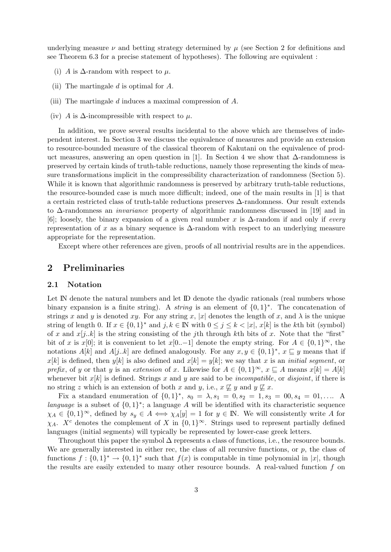underlying measure  $\nu$  and betting strategy determined by  $\mu$  (see Section 2 for definitions and see Theorem 6.3 for a precise statement of hypotheses). The following are equivalent :

- (i) A is  $\Delta$ -random with respect to  $\mu$ .
- (ii) The martingale  $d$  is optimal for  $A$ .
- (iii) The martingale d induces a maximal compression of A.
- (iv) A is  $\Delta$ -incompressible with respect to  $\mu$ .

In addition, we prove several results incidental to the above which are themselves of independent interest. In Section 3 we discuss the equivalence of measures and provide an extension to resource-bounded measure of the classical theorem of Kakutani on the equivalence of product measures, answering an open question in [1]. In Section 4 we show that  $\Delta$ -randomness is preserved by certain kinds of truth-table reductions, namely those representing the kinds of measure transformations implicit in the compressibility characterization of randomness (Section 5). While it is known that algorithmic randomness is preserved by arbitrary truth-table reductions, the resource-bounded case is much more difficult; indeed, one of the main results in [1] is that a certain restricted class of truth-table reductions preserves ∆-randomness. Our result extends to ∆-randomness an invariance property of algorithmic randomness discussed in [19] and in [6]; loosely, the binary expansion of a given real number x is ∆-random if and only if every representation of x as a binary sequence is  $\Delta$ -random with respect to an underlying measure appropriate for the representation.

Except where other references are given, proofs of all nontrivial results are in the appendices.

### 2 Preliminaries

#### 2.1 Notation

Let IN denote the natural numbers and let ID denote the dyadic rationals (real numbers whose binary expansion is a finite string). A *string* is an element of  $\{0,1\}^*$ . The concatenation of strings x and y is denoted xy. For any string x, |x| denotes the length of x, and  $\lambda$  is the unique string of length 0. If  $x \in \{0,1\}^*$  and  $j, k \in \mathbb{N}$  with  $0 \leq j \leq k < |x|, x[k]$  is the kth bit (symbol) of x and  $x[j..k]$  is the string consisting of the jth through kth bits of x. Note that the "first" bit of x is x[0]; it is convenient to let  $x[0:-1]$  denote the empty string. For  $A \in \{0,1\}^{\infty}$ , the notations A[k] and A[j..k] are defined analogously. For any  $x, y \in \{0, 1\}^*, x \sqsubseteq y$  means that if  $x[k]$  is defined, then  $y[k]$  is also defined and  $x[k] = y[k]$ ; we say that x is an *initial segment*, or prefix, of y or that y is an extension of x. Likewise for  $A \in \{0,1\}^{\infty}$ ,  $x \subseteq A$  means  $x[k] = A[k]$ whenever bit  $x[k]$  is defined. Strings x and y are said to be *incompatible*, or *disjoint*, if there is no string z which is an extension of both x and y, i.e.,  $x \not\sqsubseteq y$  and  $y \not\sqsubseteq x$ .

Fix a standard enumeration of  $\{0,1\}^*$ ,  $s_0 = \lambda$ ,  $s_1 = 0$ ,  $s_2 = 1$ ,  $s_3 = 00$ ,  $s_4 = 01$ , ... A language is a subset of  $\{0,1\}^*$ ; a language A will be identified with its characteristic sequence  $\chi_A \in \{0,1\}^{\infty}$ , defined by  $s_y \in A \iff \chi_A[y] = 1$  for  $y \in \mathbb{N}$ . We will consistently write A for  $\chi_A$ .  $X^c$  denotes the complement of X in  $\{0,1\}^{\infty}$ . Strings used to represent partially defined languages (initial segments) will typically be represented by lower-case greek letters.

Throughout this paper the symbol  $\Delta$  represents a class of functions, i.e., the resource bounds. We are generally interested in either rec, the class of all recursive functions, or  $p$ , the class of functions  $f: \{0,1\}^* \to \{0,1\}^*$  such that  $f(x)$  is computable in time polynomial in |x|, though the results are easily extended to many other resource bounds. A real-valued function  $f$  on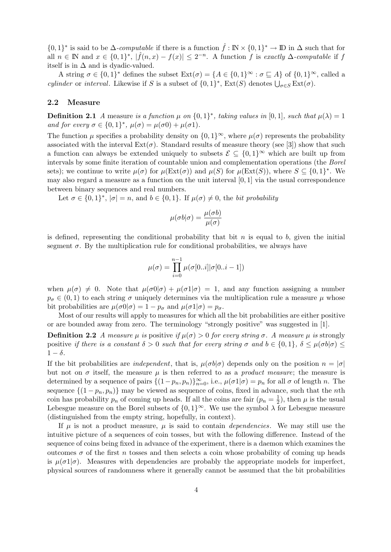$\{0,1\}^*$  is said to be  $\Delta$ -computable if there is a function  $\hat{f}: \mathbb{N} \times \{0,1\}^* \to \mathbb{D}$  in  $\Delta$  such that for all  $n \in \mathbb{N}$  and  $x \in \{0,1\}^*, |\hat{f}(n,x) - f(x)| \leq 2^{-n}$ . A function f is exactly  $\Delta$ -computable if f itself is in  $\Delta$  and is dyadic-valued.

A string  $\sigma \in \{0,1\}^*$  defines the subset  $\text{Ext}(\sigma) = \{A \in \{0,1\}^\infty : \sigma \sqsubseteq A\}$  of  $\{0,1\}^\infty$ , called a cylinder or interval. Likewise if S is a subset of  $\{0,1\}^*$ ,  $\text{Ext}(S)$  denotes  $\bigcup_{\sigma\in S}\text{Ext}(\sigma)$ .

#### 2.2 Measure

**Definition 2.1** A measure is a function  $\mu$  on  $\{0,1\}^*$ , taking values in  $[0,1]$ , such that  $\mu(\lambda) = 1$ and for every  $\sigma \in \{0,1\}^*, \mu(\sigma) = \mu(\sigma 0) + \mu(\sigma 1).$ 

The function  $\mu$  specifies a probability density on  $\{0,1\}^{\infty}$ , where  $\mu(\sigma)$  represents the probability associated with the interval  $Ext(\sigma)$ . Standard results of measure theory (see [3]) show that such a function can always be extended uniquely to subsets  $\mathcal{E} \subseteq \{0,1\}^{\infty}$  which are built up from intervals by some finite iteration of countable union and complementation operations (the Borel sets); we continue to write  $\mu(\sigma)$  for  $\mu(\text{Ext}(\sigma))$  and  $\mu(S)$  for  $\mu(\text{Ext}(S))$ , where  $S \subseteq \{0,1\}^*$ . We may also regard a measure as a function on the unit interval  $[0, 1]$  via the usual correspondence between binary sequences and real numbers.

Let  $\sigma \in \{0,1\}^*$ ,  $|\sigma| = n$ , and  $b \in \{0,1\}$ . If  $\mu(\sigma) \neq 0$ , the bit probability

$$
\mu(\sigma b|\sigma) = \frac{\mu(\sigma b)}{\mu(\sigma)}
$$

is defined, representing the conditional probability that bit  $n$  is equal to  $b$ , given the initial segment  $\sigma$ . By the multiplication rule for conditional probabilities, we always have

$$
\mu(\sigma) = \prod_{i=0}^{n-1} \mu(\sigma[0..i] | \sigma[0..i-1])
$$

when  $\mu(\sigma) \neq 0$ . Note that  $\mu(\sigma 0|\sigma) + \mu(\sigma 1|\sigma) = 1$ , and any function assigning a number  $p_{\sigma} \in (0, 1)$  to each string  $\sigma$  uniquely determines via the multiplication rule a measure  $\mu$  whose bit probabilities are  $\mu(\sigma 0|\sigma) = 1 - p_{\sigma}$  and  $\mu(\sigma 1|\sigma) = p_{\sigma}$ .

Most of our results will apply to measures for which all the bit probabilities are either positive or are bounded away from zero. The terminology "strongly positive" was suggested in [1].

**Definition 2.2** A measure  $\mu$  is positive if  $\mu(\sigma) > 0$  for every string  $\sigma$ . A measure  $\mu$  is strongly positive if there is a constant  $\delta > 0$  such that for every string  $\sigma$  and  $b \in \{0,1\}$ ,  $\delta \leq \mu(\sigma b | \sigma) \leq$  $1 - \delta$ .

If the bit probabilities are *independent*, that is,  $\mu(\sigma b|\sigma)$  depends only on the position  $n = |\sigma|$ but not on  $\sigma$  itself, the measure  $\mu$  is then referred to as a *product measure*; the measure is determined by a sequence of pairs  $\{(1-p_n, p_n)\}_{n=0}^{\infty}$ , i.e.,  $\mu(\sigma 1|\sigma) = p_n$  for all  $\sigma$  of length n. The sequence  $\{(1 - p_n, p_n)\}\$  may be viewed as sequence of coins, fixed in advance, such that the *n*th coin has probability  $p_n$  of coming up heads. If all the coins are fair  $(p_n = \frac{1}{2})$  $(\frac{1}{2})$ , then  $\mu$  is the usual Lebesgue measure on the Borel subsets of  $\{0,1\}^{\infty}$ . We use the symbol  $\lambda$  for Lebesgue measure (distinguished from the empty string, hopefully, in context).

If  $\mu$  is not a product measure,  $\mu$  is said to contain *dependencies*. We may still use the intuitive picture of a sequences of coin tosses, but with the following difference. Instead of the sequence of coins being fixed in advance of the experiment, there is a daemon which examines the outcomes  $\sigma$  of the first n tosses and then selects a coin whose probability of coming up heads is  $\mu(\sigma 1|\sigma)$ . Measures with dependencies are probably the appropriate models for imperfect, physical sources of randomness where it generally cannot be assumed that the bit probabilities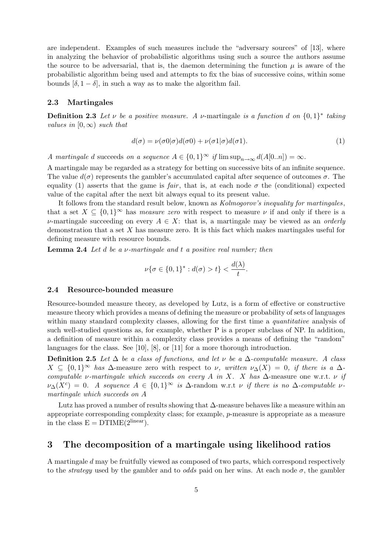are independent. Examples of such measures include the "adversary sources" of [13], where in analyzing the behavior of probabilistic algorithms using such a source the authors assume the source to be adversarial, that is, the daemon determining the function  $\mu$  is aware of the probabilistic algorithm being used and attempts to fix the bias of successive coins, within some bounds  $[\delta, 1 - \delta]$ , in such a way as to make the algorithm fail.

### 2.3 Martingales

**Definition 2.3** Let  $\nu$  be a positive measure. A  $\nu$ -martingale is a function d on  $\{0,1\}^*$  taking values in  $[0, \infty)$  such that

$$
d(\sigma) = \nu(\sigma 0|\sigma) d(\sigma 0) + \nu(\sigma 1|\sigma) d(\sigma 1).
$$
\n(1)

A martingale d succeeds on a sequence  $A \in \{0,1\}^{\infty}$  if  $\limsup_{n\to\infty} d(A[0..n]) = \infty$ .

A martingale may be regarded as a strategy for betting on successive bits of an infinite sequence. The value  $d(\sigma)$  represents the gambler's accumulated capital after sequence of outcomes  $\sigma$ . The equality (1) asserts that the game is fair, that is, at each node  $\sigma$  the (conditional) expected value of the capital after the next bit always equal to its present value.

It follows from the standard result below, known as Kolmogorov's inequality for martingales, that a set  $X \subseteq \{0,1\}^{\infty}$  has *measure zero* with respect to measure  $\nu$  if and only if there is a v-martingale succeeding on every  $A \in X$ : that is, a martingale may be viewed as an *orderly* demonstration that a set  $X$  has measure zero. It is this fact which makes martingales useful for defining measure with resource bounds.

**Lemma 2.4** Let d be a  $\nu$ -martingale and t a positive real number; then

$$
\nu\{\sigma\in\{0,1\}^*:d(\sigma)>t\}<\frac{d(\lambda)}{t}.
$$

#### 2.4 Resource-bounded measure

Resource-bounded measure theory, as developed by Lutz, is a form of effective or constructive measure theory which provides a means of defining the measure or probability of sets of languages within many standard complexity classes, allowing for the first time a *quantitative* analysis of such well-studied questions as, for example, whether P is a proper subclass of NP. In addition, a definition of measure within a complexity class provides a means of defining the "random" languages for the class. See [10], [8], or [11] for a more thorough introduction.

**Definition 2.5** Let  $\Delta$  be a class of functions, and let  $\nu$  be a  $\Delta$ -computable measure. A class  $X \subseteq \{0,1\}^{\infty}$  has  $\Delta$ -measure zero with respect to  $\nu$ , written  $\nu_{\Delta}(X) = 0$ , if there is a  $\Delta$ computable v-martingale which succeeds on every A in X. X has  $\Delta$ -measure one w.r.t. v if  $\nu_{\Delta}(X^c) = 0.$  A sequence  $A \in \{0,1\}^{\infty}$  is  $\Delta$ -random w.r.t  $\nu$  if there is no  $\Delta$ -computable  $\nu$ martingale which succeeds on A

Lutz has proved a number of results showing that  $\Delta$ -measure behaves like a measure within an appropriate corresponding complexity class; for example, p-measure is appropriate as a measure in the class  $E = DTIME(2^{linear})$ .

### 3 The decomposition of a martingale using likelihood ratios

A martingale d may be fruitfully viewed as composed of two parts, which correspond respectively to the *strategy* used by the gambler and to *odds* paid on her wins. At each node  $\sigma$ , the gambler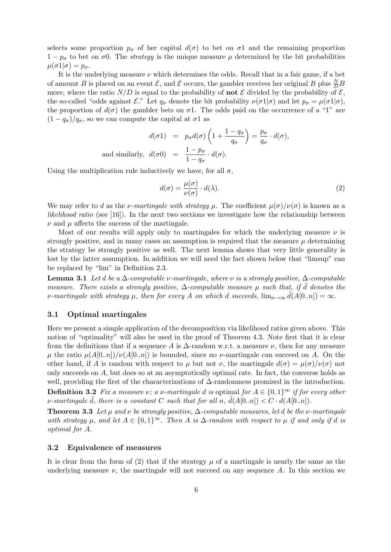selects some proportion  $p_{\sigma}$  of her capital  $d(\sigma)$  to bet on  $\sigma$ 1 and the remaining proportion  $1 - p_{\sigma}$  to bet on  $\sigma$ 0. The *strategy* is the unique measure  $\mu$  determined by the bit probabilities  $\mu(\sigma 1|\sigma) = p_{\sigma}.$ 

It is the underlying measure  $\nu$  which determines the odds. Recall that in a fair game, if a bet of amount B is placed on an event  $\mathcal{E}$ , and  $\mathcal{E}$  occurs, the gambler receives her original B plus  $\frac{N}{D}B$ more, where the ratio  $N/D$  is equal to the probability of **not**  $\mathcal E$  divided by the probability of  $\mathcal E$ , the so-called "odds against  $\mathcal{E}$ ." Let  $q_{\sigma}$  denote the bit probability  $\nu(\sigma 1|\sigma)$  and let  $p_{\sigma} = \mu(\sigma 1|\sigma)$ , the proportion of  $d(\sigma)$  the gambler bets on  $\sigma$ 1. The odds paid on the occurrence of a "1" are  $(1 - q_{\sigma})/q_{\sigma}$ , so we can compute the capital at  $\sigma$ 1 as

$$
d(\sigma 1) = p_{\sigma} d(\sigma) \left( 1 + \frac{1 - q_{\sigma}}{q_{\sigma}} \right) = \frac{p_{\sigma}}{q_{\sigma}} \cdot d(\sigma),
$$
  
and similarly,  $d(\sigma 0) = \frac{1 - p_{\sigma}}{1 - q_{\sigma}} \cdot d(\sigma).$ 

Using the multiplication rule inductively we have, for all  $\sigma$ ,

$$
d(\sigma) = \frac{\mu(\sigma)}{\nu(\sigma)} \cdot d(\lambda). \tag{2}
$$

We may refer to d as the *ν*-martingale with strategy  $\mu$ . The coefficient  $\mu(\sigma)/\nu(\sigma)$  is known as a likelihood ratio (see [16]). In the next two sections we investigate how the relationship between  $\nu$  and  $\mu$  affects the success of the martingale.

Most of our results will apply only to martingales for which the underlying measure  $\nu$  is strongly positive, and in many cases an assumption is required that the measure  $\mu$  determining the strategy be strongly positive as well. The next lemma shows that very little generality is lost by the latter assumption. In addition we will need the fact shown below that "limsup" can be replaced by "lim" in Definition 2.3.

**Lemma 3.1** Let d be a  $\Delta$ -computable v-martingale, where  $\nu$  is a strongly positive,  $\Delta$ -computable measure. There exists a strongly positive,  $\Delta$ -computable measure  $\mu$  such that, if  $\tilde{d}$  denotes the v-martingale with strategy  $\mu$ , then for every A on which d succeeds,  $\lim_{n\to\infty} d(A[0..n]) = \infty$ .

### 3.1 Optimal martingales

Here we present a simple application of the decomposition via likelihood ratios given above. This notion of "optimality" will also be used in the proof of Theorem 4.3. Note first that it is clear from the definitions that if a sequence A is  $\Delta$ -random w.r.t. a measure  $\nu$ , then for any measure  $\mu$  the ratio  $\mu(A[0..n])/\nu(A[0..n])$  is bounded, since no  $\nu$ -martingale can succeed on A. On the other hand, if A is random with respect to  $\mu$  but not  $\nu$ , the martingale  $d(\sigma) = \mu(\sigma)/\nu(\sigma)$  not only succeeds on A, but does so at an asymptotically optimal rate. In fact, the converse holds as well, providing the first of the characterizations of ∆-randomness promised in the introduction.

**Definition 3.2** Fix a measure  $\nu$ ; a  $\nu$ -martingale d is optimal for  $A \in \{0,1\}^{\infty}$  if for every other v-martingale  $\tilde{d}$ , there is a constant C such that for all  $n, \tilde{d}(A[0..n]) < C \cdot d(A[0..n])$ .

**Theorem 3.3** Let  $\mu$  and  $\nu$  be strongly positive,  $\Delta$ -computable measures, let d be the  $\nu$ -martingale with strategy  $\mu$ , and let  $A \in \{0,1\}^{\infty}$ . Then A is  $\Delta$ -random with respect to  $\mu$  if and only if d is optimal for A.

### 3.2 Equivalence of measures

It is clear from the form of (2) that if the strategy  $\mu$  of a martingale is nearly the same as the underlying measure  $\nu$ , the martingale will not succeed on any sequence A. In this section we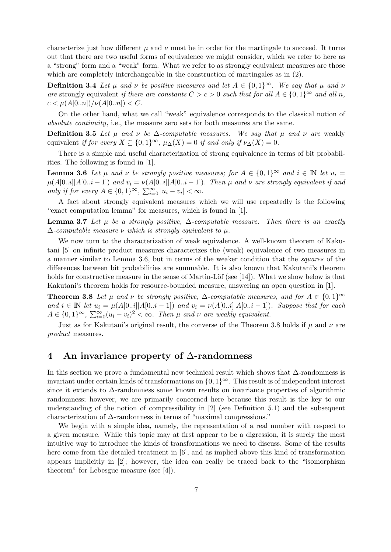characterize just how different  $\mu$  and  $\nu$  must be in order for the martingale to succeed. It turns out that there are two useful forms of equivalence we might consider, which we refer to here as a "strong" form and a "weak" form. What we refer to as strongly equivalent measures are those which are completely interchangeable in the construction of martingales as in (2).

**Definition 3.4** Let  $\mu$  and  $\nu$  be positive measures and let  $A \in \{0,1\}^{\infty}$ . We say that  $\mu$  and  $\nu$ are strongly equivalent if there are constants  $C > c > 0$  such that for all  $A \in \{0,1\}^{\infty}$  and all n,  $c < \mu(A[0..n]) / \nu(A[0..n]) < C.$ 

On the other hand, what we call "weak" equivalence corresponds to the classical notion of absolute continuity, i.e., the measure zero sets for both measures are the same.

**Definition 3.5** Let  $\mu$  and  $\nu$  be  $\Delta$ -computable measures. We say that  $\mu$  and  $\nu$  are weakly equivalent if for every  $X \subseteq \{0,1\}^{\infty}$ ,  $\mu_{\Delta}(X) = 0$  if and only if  $\nu_{\Delta}(X) = 0$ .

There is a simple and useful characterization of strong equivalence in terms of bit probabilities. The following is found in [1].

**Lemma 3.6** Let  $\mu$  and  $\nu$  be strongly positive measures; for  $A \in \{0,1\}^{\infty}$  and  $i \in \mathbb{N}$  let  $u_i =$  $\mu(A[0..i]|A[0..i-1])$  and  $v_i = \nu(A[0..i]|A[0..i-1])$ . Then  $\mu$  and  $\nu$  are strongly equivalent if and only if for every  $A \in \{0,1\}^{\infty}$ ,  $\sum_{i=0}^{\infty} |u_i - v_i| < \infty$ .

A fact about strongly equivalent measures which we will use repeatedly is the following "exact computation lemma" for measures, which is found in [1].

**Lemma 3.7** Let  $\mu$  be a strongly positive,  $\Delta$ -computable measure. Then there is an exactly  $\Delta$ -computable measure  $\nu$  which is strongly equivalent to  $\mu$ .

We now turn to the characterization of weak equivalence. A well-known theorem of Kakutani [5] on infinite product measures characterizes the (weak) equivalence of two measures in a manner similar to Lemma 3.6, but in terms of the weaker condition that the squares of the differences between bit probabilities are summable. It is also known that Kakutani's theorem holds for constructive measure in the sense of Martin-Löf (see [14]). What we show below is that Kakutani's theorem holds for resource-bounded measure, answering an open question in [1].

**Theorem 3.8** Let  $\mu$  and  $\nu$  be strongly positive,  $\Delta$ -computable measures, and for  $A \in \{0,1\}^{\infty}$ and  $i \in \mathbb{N}$  let  $u_i = \mu(A[0..i]|A[0..i-1])$  and  $v_i = \nu(A[0..i]|A[0..i-1])$ . Suppose that for each  $A \in \{0,1\}^{\infty}$ ,  $\sum_{i=0}^{\infty} (u_i - v_i)^2 < \infty$ . Then  $\mu$  and  $\nu$  are weakly equivalent.

Just as for Kakutani's original result, the converse of the Theorem 3.8 holds if  $\mu$  and  $\nu$  are product measures.

### 4 An invariance property of ∆-randomness

In this section we prove a fundamental new technical result which shows that  $\Delta$ -randomness is invariant under certain kinds of transformations on  $\{0,1\}^{\infty}$ . This result is of independent interest since it extends to Δ-randomness some known results on invariance properties of algorithmic randomness; however, we are primarily concerned here because this result is the key to our understanding of the notion of compressibility in [2] (see Definition 5.1) and the subsequent characterization of ∆-randomness in terms of "maximal compressions."

We begin with a simple idea, namely, the representation of a real number with respect to a given measure. While this topic may at first appear to be a digression, it is surely the most intuitive way to introduce the kinds of transformations we need to discuss. Some of the results here come from the detailed treatment in [6], and as implied above this kind of transformation appears implicitly in [2]; however, the idea can really be traced back to the "isomorphism theorem" for Lebesgue measure (see [4]).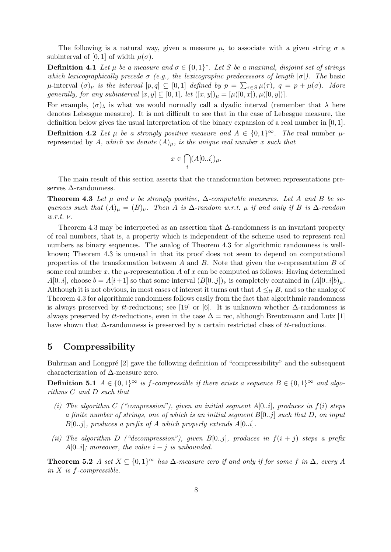The following is a natural way, given a measure  $\mu$ , to associate with a given string  $\sigma$  a subinterval of [0, 1] of width  $\mu(\sigma)$ .

**Definition 4.1** Let  $\mu$  be a measure and  $\sigma \in \{0,1\}^*$ . Let S be a maximal, disjoint set of strings which lexicographically precede  $\sigma$  (e.g., the lexicographic predecessors of length  $|\sigma|$ ). The basic  $\mu$ -interval  $(\sigma)_{\mu}$  is the interval  $[p,q] \subseteq [0,1]$  defined by  $p = \sum_{\tau \in S} \mu(\tau)$ ,  $q = p + \mu(\sigma)$ . More generally, for any subinterval  $[x, y] \subseteq [0, 1]$ , let  $([x, y])_{\mu} = [\mu([0, x]), \mu([0, y])]$ .

For example,  $(\sigma)$ <sub>λ</sub> is what we would normally call a dyadic interval (remember that  $\lambda$  here denotes Lebesgue measure). It is not difficult to see that in the case of Lebesgue measure, the definition below gives the usual interpretation of the binary expansion of a real number in [0, 1].

**Definition 4.2** Let  $\mu$  be a strongly positive measure and  $A \in \{0,1\}^{\infty}$ . The real number  $\mu$ represented by A, which we denote  $(A)_\mu$ , is the unique real number x such that

$$
x \in \bigcap_i (A[0..i])_\mu.
$$

The main result of this section asserts that the transformation between representations preserves  $\Delta$ -randomness.

**Theorem 4.3** Let  $\mu$  and  $\nu$  be strongly positive,  $\Delta$ -computable measures. Let A and B be sequences such that  $(A)_\mu = (B)_\nu$ . Then A is  $\Delta$ -random w.r.t.  $\mu$  if and only if B is  $\Delta$ -random  $w.r.t. \nu.$ 

Theorem 4.3 may be interpreted as an assertion that  $\Delta$ -randomness is an invariant property of real numbers, that is, a property which is independent of the scheme used to represent real numbers as binary sequences. The analog of Theorem 4.3 for algorithmic randomness is wellknown; Theorem 4.3 is unusual in that its proof does not seem to depend on computational properties of the transformation between A and B. Note that given the  $\nu$ -representation B of some real number x, the  $\mu$ -representation A of x can be computed as follows: Having determined  $A[0..i]$ , choose  $b = A[i+1]$  so that some interval  $(B[0..j])_{\nu}$  is completely contained in  $(A[0..i]b)_{\mu}$ . Although it is not obvious, in most cases of interest it turns out that  $A \leq_{tt} B$ , and so the analog of Theorem 4.3 for algorithmic randomness follows easily from the fact that algorithmic randomness is always preserved by tt-reductions; see [19] or [6]. It is unknown whether  $\Delta$ -randomness is always preserved by tt-reductions, even in the case  $\Delta =$  rec, although Breutzmann and Lutz [1] have shown that  $\Delta$ -randomness is preserved by a certain restricted class of tt-reductions.

### 5 Compressibility

Buhrman and Longpré [2] gave the following definition of "compressibility" and the subsequent characterization of ∆-measure zero.

**Definition 5.1**  $A \in \{0,1\}^\infty$  is f-compressible if there exists a sequence  $B \in \{0,1\}^\infty$  and algorithms C and D such that

- (i) The algorithm C ("compression"), given an initial segment  $A[0..i]$ , produces in  $f(i)$  steps a finite number of strings, one of which is an initial segment  $B[0..j]$  such that D, on input  $B[0..j]$ , produces a prefix of A which properly extends  $A[0..i]$ .
- (ii) The algorithm D ("decompression"), given  $B[0..j]$ , produces in  $f(i + j)$  steps a prefix  $A[0..i]$ ; moreover, the value  $i - j$  is unbounded.

**Theorem 5.2** A set  $X \subseteq \{0,1\}^\infty$  has  $\Delta$ -measure zero if and only if for some f in  $\Delta$ , every A in  $X$  is  $f$ -compressible.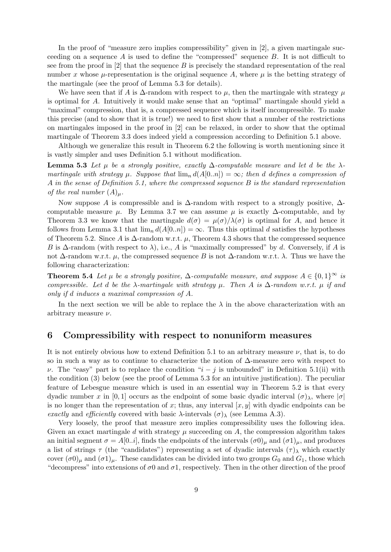In the proof of "measure zero implies compressibility" given in  $[2]$ , a given martingale succeeding on a sequence A is used to define the "compressed" sequence  $B$ . It is not difficult to see from the proof in  $[2]$  that the sequence B is precisely the standard representation of the real number x whose  $\mu$ -representation is the original sequence A, where  $\mu$  is the betting strategy of the martingale (see the proof of Lemma 5.3 for details).

We have seen that if A is  $\Delta$ -random with respect to  $\mu$ , then the martingale with strategy  $\mu$ is optimal for A. Intuitively it would make sense that an "optimal" martingale should yield a "maximal" compression, that is, a compressed sequence which is itself incompressible. To make this precise (and to show that it is true!) we need to first show that a number of the restrictions on martingales imposed in the proof in [2] can be relaxed, in order to show that the optimal martingale of Theorem 3.3 does indeed yield a compression according to Definition 5.1 above.

Although we generalize this result in Theorem 6.2 the following is worth mentioning since it is vastly simpler and uses Definition 5.1 without modification.

**Lemma 5.3** Let  $\mu$  be a strongly positive, exactly  $\Delta$ -computable measure and let d be the  $\lambda$ martingale with strategy  $\mu$ . Suppose that  $\lim_{n} d(A[0..n]) = \infty$ ; then d defines a compression of A in the sense of Definition 5.1, where the compressed sequence B is the standard representation of the real number  $(A)_\mu$ .

Now suppose A is compressible and is  $\Delta$ -random with respect to a strongly positive,  $\Delta$ computable measure  $\mu$ . By Lemma 3.7 we can assume  $\mu$  is exactly  $\Delta$ -computable, and by Theorem 3.3 we know that the martingale  $d(\sigma) = \mu(\sigma)/\lambda(\sigma)$  is optimal for A, and hence it follows from Lemma 3.1 that  $\lim_n d(A[0..n]) = \infty$ . Thus this optimal d satisfies the hypotheses of Theorem 5.2. Since A is  $\Delta$ -random w.r.t.  $\mu$ , Theorem 4.3 shows that the compressed sequence B is  $\Delta$ -random (with respect to  $\lambda$ ), i.e., A is "maximally compressed" by d. Conversely, if A is not  $\Delta$ -random w.r.t.  $\mu$ , the compressed sequence B is not  $\Delta$ -random w.r.t.  $\lambda$ . Thus we have the following characterization:

**Theorem 5.4** Let  $\mu$  be a strongly positive,  $\Delta$ -computable measure, and suppose  $A \in \{0,1\}^{\infty}$  is compressible. Let d be the  $\lambda$ -martingale with strategy  $\mu$ . Then A is  $\Delta$ -random w.r.t.  $\mu$  if and only if d induces a maximal compression of A.

In the next section we will be able to replace the  $\lambda$  in the above characterization with an arbitrary measure  $\nu$ .

### 6 Compressibility with respect to nonuniform measures

It is not entirely obvious how to extend Definition 5.1 to an arbitrary measure  $\nu$ , that is, to do so in such a way as to continue to characterize the notion of ∆-measure zero with respect to ν. The "easy" part is to replace the condition "i – j is unbounded" in Definition 5.1(ii) with the condition (3) below (see the proof of Lemma 5.3 for an intuitive justification). The peculiar feature of Lebesgue measure which is used in an essential way in Theorem 5.2 is that every dyadic number x in [0, 1] occurs as the endpoint of some basic dyadic interval  $(σ)_{\lambda}$ , where  $|σ|$ is no longer than the representation of x; thus, any interval  $[x, y]$  with dyadic endpoints can be exactly and efficiently covered with basic  $\lambda$ -intervals  $(\sigma)$ <sub>λ</sub> (see Lemma A.3).

Very loosely, the proof that measure zero implies compressibility uses the following idea. Given an exact martingale d with strategy  $\mu$  succeeding on A, the compression algorithm takes an initial segment  $\sigma = A[0..i]$ , finds the endpoints of the intervals  $(\sigma 0)_{\mu}$  and  $(\sigma 1)_{\mu}$ , and produces a list of strings  $\tau$  (the "candidates") representing a set of dyadic intervals  $(\tau)$ <sub>λ</sub> which exactly cover  $(\sigma 0)_{\mu}$  and  $(\sigma 1)_{\mu}$ . These candidates can be divided into two groups  $G_0$  and  $G_1$ , those which "decompress" into extensions of  $\sigma$ 0 and  $\sigma$ 1, respectively. Then in the other direction of the proof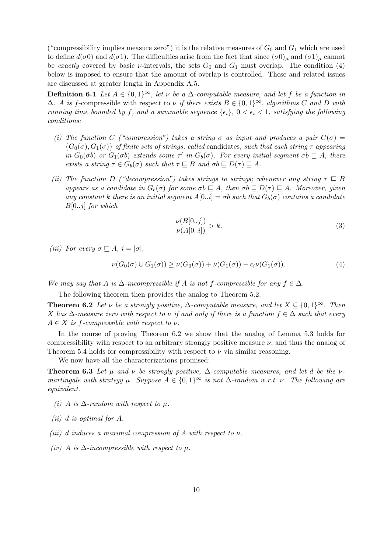("compressibility implies measure zero") it is the relative measures of  $G_0$  and  $G_1$  which are used to define  $d(\sigma 0)$  and  $d(\sigma 1)$ . The difficulties arise from the fact that since  $(\sigma 0)_{\mu}$  and  $(\sigma 1)_{\mu}$  cannot be exactly covered by basic  $\nu$ -intervals, the sets  $G_0$  and  $G_1$  must overlap. The condition (4) below is imposed to ensure that the amount of overlap is controlled. These and related issues are discussed at greater length in Appendix A.5.

**Definition 6.1** Let  $A \in \{0,1\}^{\infty}$ , let  $\nu$  be a  $\Delta$ -computable measure, and let f be a function in  $\Delta$ . A is f-compressible with respect to  $\nu$  if there exists  $B \in \{0,1\}^{\infty}$ , algorithms C and D with running time bounded by f, and a summable sequence  $\{\epsilon_i\}$ ,  $0 < \epsilon_i < 1$ , satisfying the following conditions:

- (i) The function C ("compression") takes a string  $\sigma$  as input and produces a pair  $C(\sigma)$  =  ${G_0(\sigma), G_1(\sigma)}$  of finite sets of strings, called candidates, such that each string  $\tau$  appearing in  $G_0(\sigma b)$  or  $G_1(\sigma b)$  extends some  $\tau'$  in  $G_b(\sigma)$ . For every initial segment  $\sigma b \sqsubseteq A$ , there exists a string  $\tau \in G_b(\sigma)$  such that  $\tau \sqsubseteq B$  and  $\sigma b \sqsubseteq D(\tau) \sqsubseteq A$ .
- (ii) The function D ("decompression") takes strings to strings; whenever any string  $\tau \subseteq B$ appears as a candidate in  $G_b(\sigma)$  for some  $\sigma b \sqsubseteq A$ , then  $\sigma b \sqsubseteq D(\tau) \sqsubseteq A$ . Moreover, given any constant k there is an initial segment  $A[0..i] = \sigma b$  such that  $G_b(\sigma)$  contains a candidate  $B[0..i]$  for which

$$
\frac{\nu(B[0..j])}{\nu(A[0..i])} > k.\tag{3}
$$

(iii) For every  $\sigma \sqsubseteq A$ ,  $i = |\sigma|$ ,

$$
\nu(G_0(\sigma) \cup G_1(\sigma)) \ge \nu(G_0(\sigma)) + \nu(G_1(\sigma)) - \epsilon_i \nu(G_1(\sigma)). \tag{4}
$$

We may say that A is  $\Delta$ -incompressible if A is not f-compressible for any  $f \in \Delta$ .

The following theorem then provides the analog to Theorem 5.2.

**Theorem 6.2** Let v be a strongly positive,  $\Delta$ -computable measure, and let  $X \subseteq \{0,1\}^{\infty}$ . Then X has  $\Delta$ -measure zero with respect to v if and only if there is a function  $f \in \Delta$  such that every  $A \in X$  is f-compressible with respect to  $\nu$ .

In the course of proving Theorem 6.2 we show that the analog of Lemma 5.3 holds for compressibility with respect to an arbitrary strongly positive measure  $\nu$ , and thus the analog of Theorem 5.4 holds for compressibility with respect to  $\nu$  via similar reasoning.

We now have all the characterizations promised:

**Theorem 6.3** Let  $\mu$  and  $\nu$  be strongly positive,  $\Delta$ -computable measures, and let d be the  $\nu$ martingale with strategy  $\mu$ . Suppose  $A \in \{0,1\}^{\infty}$  is not  $\Delta$ -random w.r.t.  $\nu$ . The following are equivalent.

- (i) A is  $\Delta$ -random with respect to  $\mu$ .
- (ii) d is optimal for A.
- (iii) d induces a maximal compression of A with respect to  $\nu$ .
- (iv) A is  $\Delta$ -incompressible with respect to  $\mu$ .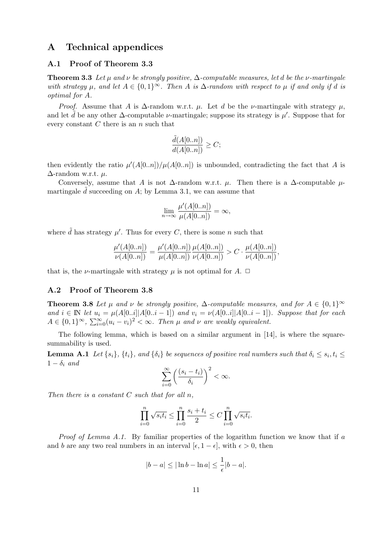### A Technical appendices

### A.1 Proof of Theorem 3.3

**Theorem 3.3** Let  $\mu$  and  $\nu$  be strongly positive,  $\Delta$ -computable measures, let d be the  $\nu$ -martingale with strategy  $\mu$ , and let  $A \in \{0,1\}^{\infty}$ . Then A is  $\Delta$ -random with respect to  $\mu$  if and only if d is optimal for A.

*Proof.* Assume that A is  $\Delta$ -random w.r.t.  $\mu$ . Let d be the  $\nu$ -martingale with strategy  $\mu$ , and let  $\tilde{d}$  be any other  $\Delta$ -computable  $\nu$ -martingale; suppose its strategy is  $\mu'$ . Suppose that for every constant  $C$  there is an  $n$  such that

$$
\frac{\tilde{d}(A[0..n])}{d(A[0..n])} \ge C;
$$

then evidently the ratio  $\mu'(A[0..n])/\mu(A[0..n])$  is unbounded, contradicting the fact that A is  $\Delta$ -random w.r.t.  $\mu$ .

Conversely, assume that A is not  $\Delta$ -random w.r.t.  $\mu$ . Then there is a  $\Delta$ -computable  $\mu$ martingale  $\tilde{d}$  succeeding on A; by Lemma 3.1, we can assume that

$$
\lim_{n \to \infty} \frac{\mu'(A[0..n])}{\mu(A[0..n])} = \infty,
$$

where  $\tilde{d}$  has strategy  $\mu'$ . Thus for every C, there is some n such that

$$
\frac{\mu'(A[0..n])}{\nu(A[0..n])} = \frac{\mu'(A[0..n])}{\mu(A[0..n])} \frac{\mu(A[0..n])}{\nu(A[0..n])} > C \cdot \frac{\mu(A[0..n])}{\nu(A[0..n])},
$$

that is, the *v*-martingale with strategy  $\mu$  is not optimal for A.  $\Box$ 

### A.2 Proof of Theorem 3.8

**Theorem 3.8** Let  $\mu$  and  $\nu$  be strongly positive,  $\Delta$ -computable measures, and for  $A \in \{0,1\}^{\infty}$ and  $i \in \mathbb{N}$  let  $u_i = \mu(A[0..i]|A[0..i-1])$  and  $v_i = \nu(A[0..i]|A[0..i-1])$ . Suppose that for each  $A \in \{0,1\}^{\infty}$ ,  $\sum_{i=0}^{\infty} (u_i - v_i)^2 < \infty$ . Then  $\mu$  and  $\nu$  are weakly equivalent.

The following lemma, which is based on a similar argument in [14], is where the squaresummability is used.

**Lemma A.1** Let  $\{s_i\}$ ,  $\{t_i\}$ , and  $\{\delta_i\}$  be sequences of positive real numbers such that  $\delta_i \leq s_i, t_i \leq$  $1 - \delta_i$  and

$$
\sum_{i=0}^{\infty} \left( \frac{(s_i - t_i)}{\delta_i} \right)^2 < \infty.
$$

Then there is a constant  $C$  such that for all  $n$ ,

$$
\prod_{i=0}^{n} \sqrt{s_i t_i} \le \prod_{i=0}^{n} \frac{s_i + t_i}{2} \le C \prod_{i=0}^{n} \sqrt{s_i t_i}.
$$

*Proof of Lemma A.1.* By familiar properties of the logarithm function we know that if a and b are any two real numbers in an interval  $[\epsilon, 1 - \epsilon]$ , with  $\epsilon > 0$ , then

$$
|b-a| \le |\ln b - \ln a| \le \frac{1}{\epsilon}|b-a|.
$$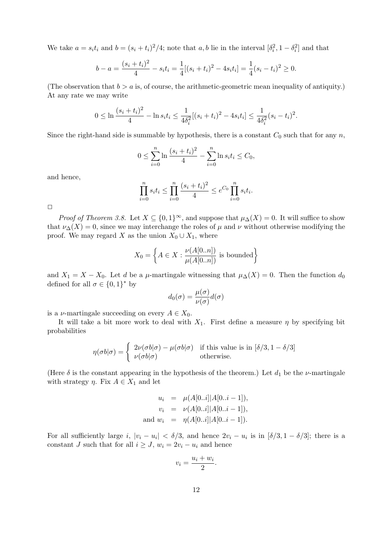We take  $a = s_i t_i$  and  $b = (s_i + t_i)^2/4$ ; note that  $a, b$  lie in the interval  $[\delta_i^2, 1 - \delta_i^2]$  and that

$$
b - a = \frac{(s_i + t_i)^2}{4} - s_i t_i = \frac{1}{4} [(s_i + t_i)^2 - 4s_i t_i] = \frac{1}{4} (s_i - t_i)^2 \ge 0.
$$

(The observation that  $b > a$  is, of course, the arithmetic-geometric mean inequality of antiquity.) At any rate we may write

$$
0 \leq \ln \frac{(s_i + t_i)^2}{4} - \ln s_i t_i \leq \frac{1}{4\delta_i^2} [(s_i + t_i)^2 - 4s_i t_i] \leq \frac{1}{4\delta_i^2} (s_i - t_i)^2.
$$

Since the right-hand side is summable by hypothesis, there is a constant  $C_0$  such that for any n,

$$
0 \le \sum_{i=0}^{n} \ln \frac{(s_i + t_i)^2}{4} - \sum_{i=0}^{n} \ln s_i t_i \le C_0,
$$

and hence,

$$
\prod_{i=0}^{n} s_i t_i \le \prod_{i=0}^{n} \frac{(s_i + t_i)^2}{4} \le e^{C_0} \prod_{i=0}^{n} s_i t_i.
$$

 $\Box$ 

*Proof of Theorem 3.8.* Let  $X \subseteq \{0,1\}^{\infty}$ , and suppose that  $\mu_{\Delta}(X) = 0$ . It will suffice to show that  $\nu_{\Delta}(X) = 0$ , since we may interchange the roles of  $\mu$  and  $\nu$  without otherwise modifying the proof. We may regard X as the union  $X_0 \cup X_1$ , where

$$
X_0 = \left\{ A \in X : \frac{\nu(A[0..n])}{\mu(A[0..n])} \text{ is bounded} \right\}
$$

and  $X_1 = X - X_0$ . Let d be a  $\mu$ -martingale witnessing that  $\mu_{\Delta}(X) = 0$ . Then the function  $d_0$ defined for all  $\sigma \in \{0,1\}^*$  by

$$
d_0(\sigma) = \frac{\mu(\sigma)}{\nu(\sigma)} d(\sigma)
$$

is a *v*-martingale succeeding on every  $A \in X_0$ .

It will take a bit more work to deal with  $X_1$ . First define a measure  $\eta$  by specifying bit probabilities

$$
\eta(\sigma b|\sigma) = \begin{cases} 2\nu(\sigma b|\sigma) - \mu(\sigma b|\sigma) & \text{if this value is in } [\delta/3, 1 - \delta/3] \\ \nu(\sigma b|\sigma) & \text{otherwise.} \end{cases}
$$

(Here  $\delta$  is the constant appearing in the hypothesis of the theorem.) Let  $d_1$  be the *v*-martingale with strategy  $\eta$ . Fix  $A \in X_1$  and let

$$
u_i = \mu(A[0..i]|A[0..i-1]),
$$
  
\n
$$
v_i = \nu(A[0..i]|A[0..i-1]),
$$
  
\nand 
$$
w_i = \eta(A[0..i]|A[0..i-1]).
$$

For all sufficiently large i,  $|v_i - u_i| < \delta/3$ , and hence  $2v_i - u_i$  is in  $[\delta/3, 1 - \delta/3]$ ; there is a constant J such that for all  $i \geq J$ ,  $w_i = 2v_i - u_i$  and hence

$$
v_i = \frac{u_i + w_i}{2}.
$$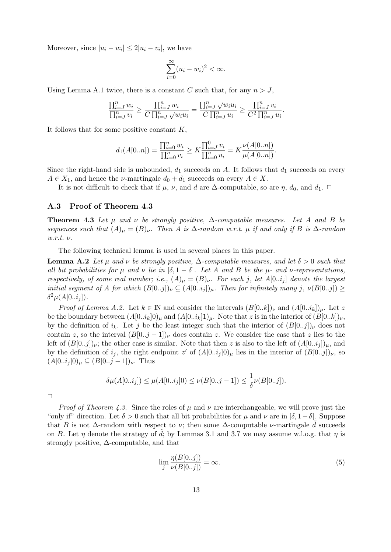Moreover, since  $|u_i - w_i| \leq 2|u_i - v_i|$ , we have

$$
\sum_{i=0}^{\infty} (u_i - w_i)^2 < \infty.
$$

Using Lemma A.1 twice, there is a constant C such that, for any  $n > J$ ,

$$
\frac{\prod_{i=J}^{n} w_i}{\prod_{i=J}^{n} v_i} \ge \frac{\prod_{i=J}^{n} w_i}{C \prod_{i=J}^{n} \sqrt{w_i u_i}} = \frac{\prod_{i=J}^{n} \sqrt{w_i u_i}}{C \prod_{i=J}^{n} u_i} \ge \frac{\prod_{i=J}^{n} v_i}{C^2 \prod_{i=J}^{n} u_i}.
$$

It follows that for some positive constant  $K$ ,

$$
d_1(A[0..n]) = \frac{\prod_{i=0}^n w_i}{\prod_{i=0}^n v_i} \ge K \frac{\prod_{i=J}^0 v_i}{\prod_{i=0}^n u_i} = K \frac{\nu(A[0..n])}{\mu(A[0..n])}.
$$

Since the right-hand side is unbounded,  $d_1$  succeeds on A. It follows that  $d_1$  succeeds on every  $A \in X_1$ , and hence the *v*-martingale  $d_0 + d_1$  succeeds on every  $A \in X$ .

It is not difficult to check that if  $\mu$ ,  $\nu$ , and d are  $\Delta$ -computable, so are  $\eta$ ,  $d_0$ , and  $d_1$ .  $\Box$ 

### A.3 Proof of Theorem 4.3

**Theorem 4.3** Let  $\mu$  and  $\nu$  be strongly positive,  $\Delta$ -computable measures. Let A and B be sequences such that  $(A)_\mu = (B)_\nu$ . Then A is  $\Delta$ -random w.r.t.  $\mu$  if and only if B is  $\Delta$ -random  $w.r.t.$   $\nu$ .

The following technical lemma is used in several places in this paper.

**Lemma A.2** Let  $\mu$  and  $\nu$  be strongly positive,  $\Delta$ -computable measures, and let  $\delta > 0$  such that all bit probabilities for  $\mu$  and  $\nu$  lie in  $[\delta, 1 - \delta]$ . Let A and B be the  $\mu$ - and  $\nu$ -representations, respectively, of some real number; i.e.,  $(A)_{\mu} = (B)_{\nu}$ . For each j, let  $A[0..i_j]$  denote the largest initial segment of A for which  $(B[0..j])_{\nu} \subseteq (A[0..i_j])_{\mu}$ . Then for infinitely many j,  $\nu(B[0..j]) \ge$  $\delta^2 \mu(A[0..i_j]).$ 

*Proof of Lemma A.2.* Let  $k \in \mathbb{N}$  and consider the intervals  $(B[0..k])_{\nu}$  and  $(A[0..i_k])_{\mu}$ . Let z be the boundary between  $(A[0..i_k]0)_\mu$  and  $(A[0..i_k]1)_\mu$ . Note that z is in the interior of  $(B[0..k])_\nu$ , by the definition of  $i_k$ . Let j be the least integer such that the interior of  $(B[0..j])_{\nu}$  does not contain z, so the interval  $(B[0..j-1])_{\nu}$  does contain z. We consider the case that z lies to the left of  $(B[0..j])_{\nu}$ ; the other case is similar. Note that then z is also to the left of  $(A[0..i_j])_{\mu}$ , and by the definition of  $i_j$ , the right endpoint z' of  $(A[0..i_j]0)_{\mu}$  lies in the interior of  $(B[0..j])_{\nu}$ , so  $(A[0..i_j]0)_\mu \subseteq (B[0..j-1])_\nu$ . Thus

$$
\delta\mu(A[0..i_j]) \le \mu(A[0..i_j]0) \le \nu(B[0..j-1]) \le \frac{1}{\delta}\nu(B[0..j]).
$$

 $\Box$ 

*Proof of Theorem 4.3.* Since the roles of  $\mu$  and  $\nu$  are interchangeable, we will prove just the "only if" direction. Let  $\delta > 0$  such that all bit probabilities for  $\mu$  and  $\nu$  are in  $[\delta, 1-\delta]$ . Suppose that B is not  $\Delta$ -random with respect to  $\nu$ ; then some  $\Delta$ -computable  $\nu$ -martingale d succeeds on B. Let  $\eta$  denote the strategy of d; by Lemmas 3.1 and 3.7 we may assume w.l.o.g. that  $\eta$  is strongly positive,  $\Delta$ -computable, and that

$$
\lim_{j} \frac{\eta(B[0..j])}{\nu(B[0..j])} = \infty.
$$
\n(5)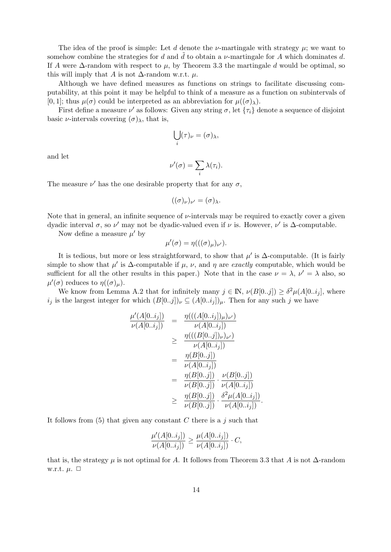The idea of the proof is simple: Let d denote the  $\nu$ -martingale with strategy  $\mu$ ; we want to somehow combine the strategies for d and  $\tilde{d}$  to obtain a  $\nu$ -martingale for A which dominates d. If A were  $\Delta$ -random with respect to  $\mu$ , by Theorem 3.3 the martingale d would be optimal, so this will imply that A is not  $\Delta$ -random w.r.t.  $\mu$ .

Although we have defined measures as functions on strings to facilitate discussing computability, at this point it may be helpful to think of a measure as a function on subintervals of [0, 1]; thus  $\mu(\sigma)$  could be interpreted as an abbreviation for  $\mu((\sigma)_{\lambda})$ .

First define a measure  $\nu'$  as follows: Given any string  $\sigma$ , let  $\{\tau_i\}$  denote a sequence of disjoint basic  $\nu$ -intervals covering  $(\sigma)_{\lambda}$ , that is,

$$
\bigcup_i (\tau)_\nu = (\sigma)_\lambda,
$$

and let

$$
\nu'(\sigma) = \sum_i \lambda(\tau_i).
$$

The measure  $\nu'$  has the one desirable property that for any  $\sigma$ ,

$$
((\sigma)_\nu)_{\nu'}=(\sigma)_\lambda.
$$

Note that in general, an infinite sequence of  $\nu$ -intervals may be required to exactly cover a given dyadic interval σ, so  $\nu'$  may not be dyadic-valued even if  $\nu$  is. However,  $\nu'$  is  $\Delta$ -computable.

Now define a measure  $\mu'$  by

$$
\mu'(\sigma) = \eta(((\sigma)_{\mu})_{\nu'}).
$$

It is tedious, but more or less straightforward, to show that  $\mu'$  is  $\Delta$ -computable. (It is fairly simple to show that  $\mu'$  is  $\Delta$ -computable if  $\mu$ ,  $\nu$ , and  $\eta$  are exactly computable, which would be sufficient for all the other results in this paper.) Note that in the case  $\nu = \lambda$ ,  $\nu' = \lambda$  also, so  $\mu'(\sigma)$  reduces to  $\eta((\sigma)_{\mu})$ .

We know from Lemma A.2 that for infinitely many  $j \in \mathbb{N}$ ,  $\nu(B[0..j]) \geq \delta^2 \mu(A[0..i_j])$ , where  $i_j$  is the largest integer for which  $(B[0..j])_{\nu} \subseteq (A[0..i_j])_{\mu}$ . Then for any such j we have

$$
\frac{\mu'(A[0..i_j])}{\nu(A[0..i_j])} = \frac{\eta(((A[0..i_j])_{\mu})_{\nu'})}{\nu(A[0..i_j])}
$$
\n
$$
\geq \frac{\eta(((B[0..j])_{\nu})_{\nu'})}{\nu(A[0..i_j])}
$$
\n
$$
= \frac{\eta(B[0..j])}{\nu(A[0..i_j])}
$$
\n
$$
= \frac{\eta(B[0..j])}{\nu(B[0..j])} \cdot \frac{\nu(B[0..j])}{\nu(A[0..i_j])}
$$
\n
$$
\geq \frac{\eta(B[0..j])}{\nu(B[0..j])} \cdot \frac{\delta^2 \mu(A[0..i_j])}{\nu(A[0..i_j])}.
$$

It follows from  $(5)$  that given any constant C there is a j such that

$$
\frac{\mu'(A[0..i_j])}{\nu(A[0..i_j])} \ge \frac{\mu(A[0..i_j])}{\nu(A[0..i_j])} \cdot C,
$$

that is, the strategy  $\mu$  is not optimal for A. It follows from Theorem 3.3 that A is not  $\Delta$ -random w.r.t.  $\mu$ .  $\Box$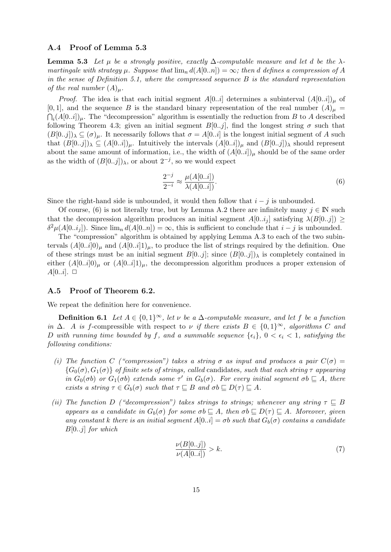### A.4 Proof of Lemma 5.3

**Lemma 5.3** Let  $\mu$  be a strongly positive, exactly  $\Delta$ -computable measure and let d be the  $\lambda$ martingale with strategy  $\mu$ . Suppose that  $\lim_n d(A[0..n]) = \infty$ ; then d defines a compression of A in the sense of Definition 5.1, where the compressed sequence  $B$  is the standard representation of the real number  $(A)_{\mu}$ .

*Proof.* The idea is that each initial segment  $A[0..i]$  determines a subinterval  $(A[0..i])_{\mu}$  of  $[0, 1]$ , and the sequence B is the standard binary representation of the real number  $(A)_{\mu}$  $\bigcap_i (A[0..i])_\mu$ . The "decompression" algorithm is essentially the reduction from B to A described following Theorem 4.3; given an initial segment  $B[0..j]$ , find the longest string  $\sigma$  such that  $(B[0..j])_\lambda \subseteq (\sigma)_\mu$ . It necessarily follows that  $\sigma = A[0..i]$  is the longest initial segment of A such that  $(B[0..j])_\lambda \subseteq (A[0..i])_\mu$ . Intuitively the intervals  $(A[0..i])_\mu$  and  $(B[0..j])_\lambda$  should represent about the same amount of information, i.e., the width of  $(A[0..i])_\mu$  should be of the same order as the width of  $(B[0..j])_\lambda$ , or about  $2^{-j}$ , so we would expect

$$
\frac{2^{-j}}{2^{-i}} \approx \frac{\mu(A[0..i])}{\lambda(A[0..i])}.
$$
\n(6)

Since the right-hand side is unbounded, it would then follow that  $i - j$  is unbounded.

Of course, (6) is not literally true, but by Lemma A.2 there are infinitely many  $j \in \mathbb{N}$  such that the decompression algorithm produces an initial segment  $A[0..i_j]$  satisfying  $\lambda(B[0..j]) \geq$  $\delta^2 \mu(A[0..i_j])$ . Since  $\lim_n d(A[0..n]) = \infty$ , this is sufficient to conclude that  $i - j$  is unbounded.

The "compression" algorithm is obtained by applying Lemma A.3 to each of the two subintervals  $(A[0..i]0)_\mu$  and  $(A[0..i]1)_\mu$ , to produce the list of strings required by the definition. One of these strings must be an initial segment  $B[0..j]$ ; since  $(B[0..j])_\lambda$  is completely contained in either  $(A[0..i]0)_\mu$  or  $(A[0..i]1)_\mu$ , the decompression algorithm produces a proper extension of  $A[0..i]$ .  $\Box$ 

### A.5 Proof of Theorem 6.2.

We repeat the definition here for convenience.

**Definition 6.1** Let  $A \in \{0,1\}^{\infty}$ , let  $\nu$  be a  $\Delta$ -computable measure, and let f be a function in  $\Delta$ . A is f-compressible with respect to v if there exists  $B \in \{0,1\}^{\infty}$ , algorithms C and D with running time bounded by f, and a summable sequence  $\{\epsilon_i\}$ ,  $0 < \epsilon_i < 1$ , satisfying the following conditions:

- (i) The function C ("compression") takes a string  $\sigma$  as input and produces a pair  $C(\sigma)$  =  ${G_0(\sigma), G_1(\sigma)}$  of finite sets of strings, called candidates, such that each string  $\tau$  appearing in  $G_0(\sigma b)$  or  $G_1(\sigma b)$  extends some  $\tau'$  in  $G_b(\sigma)$ . For every initial segment  $\sigma b \sqsubseteq A$ , there exists a string  $\tau \in G_b(\sigma)$  such that  $\tau \sqsubseteq B$  and  $\sigma b \sqsubseteq D(\tau) \sqsubseteq A$ .
- (ii) The function D ("decompression") takes strings to strings; whenever any string  $\tau \subseteq B$ appears as a candidate in  $G_b(\sigma)$  for some  $\sigma b \sqsubseteq A$ , then  $\sigma b \sqsubseteq D(\tau) \sqsubseteq A$ . Moreover, given any constant k there is an initial segment  $A[0..i] = \sigma b$  such that  $G_b(\sigma)$  contains a candidate  $B[0..j]$  for which

$$
\frac{\nu(B[0..j])}{\nu(A[0..i])} > k.\tag{7}
$$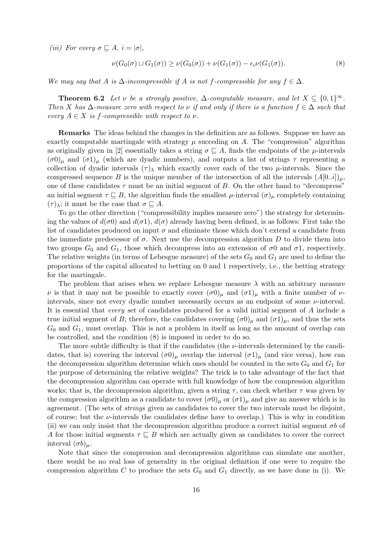(iii) For every  $\sigma \sqsubseteq A$ ,  $i = |\sigma|$ ,

$$
\nu(G_0(\sigma) \cup G_1(\sigma)) \ge \nu(G_0(\sigma)) + \nu(G_1(\sigma)) - \epsilon_i \nu(G_1(\sigma)). \tag{8}
$$

We may say that A is  $\Delta$ -incompressible if A is not f-compressible for any  $f \in \Delta$ .

**Theorem 6.2** Let  $\nu$  be a strongly positive,  $\Delta$ -computable measure, and let  $X \subseteq \{0,1\}^{\infty}$ . Then X has  $\Delta$ -measure zero with respect to  $\nu$  if and only if there is a function  $f \in \Delta$  such that every  $A \in X$  is f-compressible with respect to  $\nu$ .

Remarks The ideas behind the changes in the definition are as follows. Suppose we have an exactly computable martingale with strategy  $\mu$  succeding on A. The "compression" algorithm as originally given in [2] essentially takes a string  $\sigma \subseteq A$ , finds the endpoints of the  $\mu$ -intervals  $(\sigma \theta)_{\mu}$  and  $(\sigma \theta)_{\mu}$  (which are dyadic numbers), and outputs a list of strings  $\tau$  representing a collection of dyadic intervals  $(\tau)$  which exactly cover each of the two  $\mu$ -intervals. Since the compressed sequence B is the unique member of the intersection of all the intervals  $(A[0..i])_u$ , one of these candidates  $\tau$  must be an initial segment of B. On the other hand to "decompress" an initial segment  $\tau \subseteq B$ , the algorithm finds the smallest  $\mu$ -interval  $(\sigma)_{\mu}$  completely containing  $(\tau)_{\lambda}$ ; it must be the case that  $\sigma \sqsubseteq A$ .

To go the other direction ("compressibility implies measure zero") the strategy for determining the values of  $d(\sigma \mathbf{0})$  and  $d(\sigma \mathbf{1}), d(\sigma)$  already having been defined, is as follows: First take the list of candidates produced on input  $\sigma$  and eliminate those which don't extend a candidate from the immediate predecessor of  $\sigma$ . Next use the decompression algorithm D to divide them into two groups  $G_0$  and  $G_1$ , those which decompress into an extension of  $\sigma$ 0 and  $\sigma$ 1, respectively. The relative weights (in terms of Lebesgue measure) of the sets  $G_0$  and  $G_1$  are used to define the proportions of the capital allocated to betting on 0 and 1 respectively, i.e., the betting strategy for the martingale.

The problem that arises when we replace Lebesgue measure  $\lambda$  with an arbitrary measure  $\nu$  is that it may not be possible to exactly cover  $(\sigma 0)$ <sub>μ</sub> and  $(\sigma 1)$ <sub>μ</sub> with a finite number of  $\nu$ intervals, since not every dyadic number necessarily occurs as an endpoint of some  $\nu$ -interval. It is essential that every set of candidates produced for a valid initial segment of A include a true initial segment of B; therefore, the candidates covering  $(\sigma 0)_{\mu}$  and  $(\sigma 1)_{\mu}$ , and thus the sets  $G_0$  and  $G_1$ , must overlap. This is not a problem in itself as long as the amount of overlap can be controlled, and the condition (8) is imposed in order to do so.

The more subtle difficulty is that if the candidates (the  $\nu$ -intervals determined by the candidates, that is) covering the interval  $(\sigma 0)_{\mu}$  overlap the interval  $(\sigma 1)_{\mu}$  (and vice versa), how can the decompression algorithm determine which ones should be counted in the sets  $G_0$  and  $G_1$  for the purpose of determining the relative weights? The trick is to take advantage of the fact that the decompression algorithm can operate with full knowledge of how the compression algorithm works; that is, the decompression algorithm, given a string  $\tau$ , can check whether  $\tau$  was given by the compression algorithm as a candidate to cover  $(\sigma \theta)_{\mu}$  or  $(\sigma \theta)_{\mu}$  and give an answer which is in agreement. (The sets of strings given as candidates to cover the two intervals must be disjoint, of course; but the  $\nu$ -intervals the candidates define have to overlap.) This is why in condition (ii) we can only insist that the decompression algorithm produce a correct initial segment  $\sigma b$  of A for those initial segments  $\tau \sqsubseteq B$  which are actually given as candidates to cover the correct interval  $(\sigma b)_\mu$ .

Note that since the compression and decompression algorithms can simulate one another, there would be no real loss of generality in the original definition if one were to require the compression algorithm C to produce the sets  $G_0$  and  $G_1$  directly, as we have done in (i). We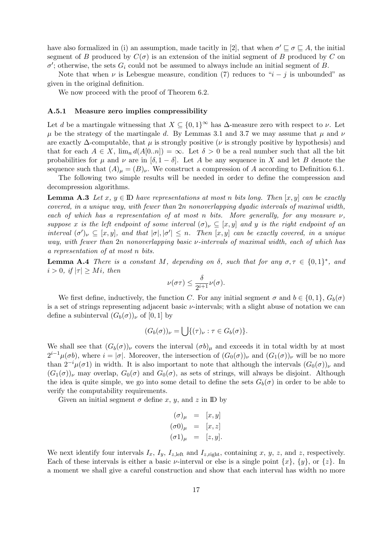have also formalized in (i) an assumption, made tacitly in [2], that when  $\sigma' \sqsubseteq \sigma \sqsubseteq A$ , the initial segment of B produced by  $C(\sigma)$  is an extension of the initial segment of B produced by C on  $\sigma'$ ; otherwise, the sets  $G_i$  could not be assumed to always include an initial segment of B.

Note that when  $\nu$  is Lebesgue measure, condition (7) reduces to " $i - j$  is unbounded" as given in the original definition.

We now proceed with the proof of Theorem 6.2.

#### A.5.1 Measure zero implies compressibility

Let d be a martingale witnessing that  $X \subseteq \{0,1\}^{\infty}$  has  $\Delta$ -measure zero with respect to  $\nu$ . Let  $\mu$  be the strategy of the martingale d. By Lemmas 3.1 and 3.7 we may assume that  $\mu$  and  $\nu$ are exactly  $\Delta$ -computable, that  $\mu$  is strongly positive ( $\nu$  is strongly positive by hypothesis) and that for each  $A \in X$ ,  $\lim_{n} d(A[0..n]) = \infty$ . Let  $\delta > 0$  be a real number such that all the bit probabilities for  $\mu$  and  $\nu$  are in  $[\delta, 1 - \delta]$ . Let A be any sequence in X and let B denote the sequence such that  $(A)<sub>\mu</sub> = (B)<sub>\nu</sub>$ . We construct a compression of A according to Definition 6.1.

The following two simple results will be needed in order to define the compression and decompression algorithms.

**Lemma A.3** Let x,  $y \in \mathbb{D}$  have representations at most n bits long. Then  $[x, y]$  can be exactly covered, in a unique way, with fewer than 2n nonoverlapping dyadic intervals of maximal width, each of which has a representation of at most n bits. More generally, for any measure  $\nu$ , suppose x is the left endpoint of some interval  $(\sigma)_\nu \subseteq [x, y]$  and y is the right endpoint of an interval  $(\sigma')_{\nu} \subseteq [x, y]$ , and that  $|\sigma|, |\sigma'| \leq n$ . Then  $[x, y]$  can be exactly covered, in a unique way, with fewer than 2n nonoverlapping basic ν-intervals of maximal width, each of which has a representation of at most n bits.

**Lemma A.4** There is a constant M, depending on  $\delta$ , such that for any  $\sigma, \tau \in \{0,1\}^*$ , and  $i > 0$ , if  $|\tau| \geq Mi$ , then

$$
\nu(\sigma\tau) \leq \frac{\delta}{2^{i+1}}\nu(\sigma).
$$

We first define, inductively, the function C. For any initial segment  $\sigma$  and  $b \in \{0, 1\}$ ,  $G_b(\sigma)$ is a set of strings representing adjacent basic  $\nu$ -intervals; with a slight abuse of notation we can define a subinterval  $(G_b(\sigma))_{\nu}$  of [0, 1] by

$$
(G_b(\sigma))_{\nu} = \bigcup \{ (\tau)_{\nu} : \tau \in G_b(\sigma) \}.
$$

We shall see that  $(G_b(\sigma))_\nu$  covers the interval  $(\sigma b)_\mu$  and exceeds it in total width by at most  $2^{i-1}\mu(\sigma b)$ , where  $i=|\sigma|$ . Moreover, the intersection of  $(G_0(\sigma))_{\nu}$  and  $(G_1(\sigma))_{\nu}$  will be no more than  $2^{-i}\mu(\sigma 1)$  in width. It is also important to note that although the intervals  $(G_0(\sigma))_{\nu}$  and  $(G_1(\sigma))_\nu$  may overlap,  $G_0(\sigma)$  and  $G_0(\sigma)$ , as sets of strings, will always be disjoint. Although the idea is quite simple, we go into some detail to define the sets  $G_b(\sigma)$  in order to be able to verify the computability requirements.

Given an initial segment  $\sigma$  define x, y, and z in ID by

$$
(\sigma)_{\mu} = [x, y]
$$
  
\n
$$
(\sigma 0)_{\mu} = [x, z]
$$
  
\n
$$
(\sigma 1)_{\mu} = [z, y].
$$

We next identify four intervals  $I_x$ ,  $I_y$ ,  $I_{z\text{,left}}$  and  $I_{z\text{,right}}$ , containing x, y, z, and z, respectively. Each of these intervals is either a basic *v*-interval or else is a single point  $\{x\}$ ,  $\{y\}$ , or  $\{z\}$ . In a moment we shall give a careful construction and show that each interval has width no more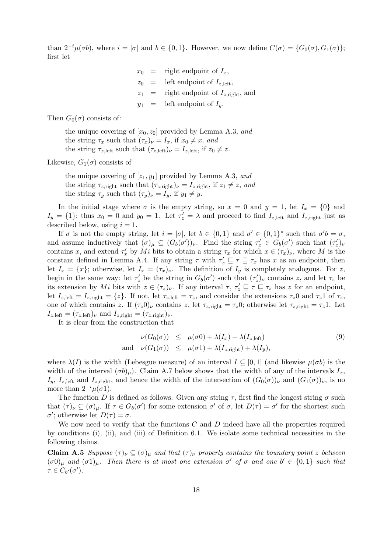than  $2^{-i}\mu(\sigma b)$ , where  $i = |\sigma|$  and  $b \in \{0, 1\}$ . However, we now define  $C(\sigma) = \{G_0(\sigma), G_1(\sigma)\}$ ; first let

> $x_0 =$  right endpoint of  $I_x$ ,  $z_0$  = left endpoint of  $I_{z,\text{left}}$ ,  $z_1$  = right endpoint of  $I_{z,\text{right}}$ , and  $y_1 =$  left endpoint of  $I_y$ .

Then  $G_0(\sigma)$  consists of:

the unique covering of  $[x_0, z_0]$  provided by Lemma A.3, and the string  $\tau_x$  such that  $(\tau_x)_\nu = I_x$ , if  $x_0 \neq x$ , and the string  $\tau_{z,\text{left}}$  such that  $(\tau_{z,\text{left}})_\nu = I_{z,\text{left}}$ , if  $z_0 \neq z$ .

Likewise,  $G_1(\sigma)$  consists of

the unique covering of  $[z_1, y_1]$  provided by Lemma A.3, and the string  $\tau_{z,\text{right}}$  such that  $(\tau_{z,\text{right}})_{\nu} = I_{z,\text{right}}$ , if  $z_1 \neq z$ , and the string  $\tau_y$  such that  $(\tau_y)_\nu = I_y$ , if  $y_1 \neq y$ .

In the initial stage where  $\sigma$  is the empty string, so  $x = 0$  and  $y = 1$ , let  $I_x = \{0\}$  and  $I_y = \{1\}$ ; thus  $x_0 = 0$  and  $y_0 = 1$ . Let  $\tau'_z = \lambda$  and proceed to find  $I_{z,\text{left}}$  and  $I_{z,\text{right}}$  just as described below, using  $i = 1$ .

If  $\sigma$  is not the empty string, let  $i = |\sigma|$ , let  $b \in \{0,1\}$  and  $\sigma' \in \{0,1\}^*$  such that  $\sigma' b = \sigma$ , and assume inductively that  $(\sigma)_{\mu} \subseteq (G_b(\sigma'))_{\nu}$ . Find the string  $\tau'_x \in G_b(\sigma')$  such that  $(\tau'_x)_{\nu}$ contains x, and extend  $\tau'_x$  by Mi bits to obtain a string  $\tau_x$  for which  $x \in (\tau_x)_\nu$ , where M is the constant defined in Lemma A.4. If any string  $\tau$  with  $\tau'_x \sqsubseteq \tau \sqsubseteq \tau_x$  has x as an endpoint, then let  $I_x = \{x\}$ ; otherwise, let  $I_x = (\tau_x)_\nu$ . The definition of  $I_y$  is completely analogous. For z, begin in the same way: let  $\tau'_z$  be the string in  $G_b(\sigma')$  such that  $(\tau'_z)_\nu$  contains z, and let  $\tau_z$  be its extension by Mi bits with  $z \in (\tau_z)_\nu$ . If any interval  $\tau, \tau_z' \sqsubseteq \tau \sqsubseteq \tau_z$  has z for an endpoint, let  $I_{z,\text{left}} = I_{z,\text{right}} = \{z\}$ . If not, let  $\tau_{z,\text{left}} = \tau_z$ , and consider the extensions  $\tau_z 0$  and  $\tau_z 1$  of  $\tau_z$ , one of which contains z. If  $(\tau_z 0)_{\nu}$  contains z, let  $\tau_{z,\text{right}} = \tau_z 0$ ; otherwise let  $\tau_{z,\text{right}} = \tau_z 1$ . Let  $I_{z,\text{left}} = (\tau_{z,\text{left}})_{\nu} \text{ and } I_{z,\text{right}} = (\tau_{z,\text{right}})_{\nu}.$ 

It is clear from the construction that

$$
\nu(G_0(\sigma)) \leq \mu(\sigma 0) + \lambda(I_x) + \lambda(I_{z,\text{left}}) \tag{9}
$$
  
and 
$$
\nu(G_1(\sigma)) \leq \mu(\sigma 1) + \lambda(I_{z,\text{right}}) + \lambda(I_y),
$$

where  $\lambda(I)$  is the width (Lebesgue measure) of an interval  $I \subseteq [0,1]$  (and likewise  $\mu(\sigma b)$ ) is the width of the interval  $(\sigma b)_\mu$ ). Claim A.7 below shows that the width of any of the intervals  $I_x$ , I<sub>y</sub>, I<sub>z,left</sub> and I<sub>z,right</sub>, and hence the width of the intersection of  $(G_0(\sigma))_\nu$  and  $(G_1(\sigma))_\nu$ , is no more than  $2^{-i}\mu(\sigma 1)$ .

The function D is defined as follows: Given any string  $\tau$ , first find the longest string  $\sigma$  such that  $(\tau)_{\nu} \subseteq (\sigma)_{\mu}$ . If  $\tau \in G_b(\sigma')$  for some extension  $\sigma'$  of  $\sigma$ , let  $D(\tau) = \sigma'$  for the shortest such  $\sigma'$ ; otherwise let  $D(\tau) = \sigma$ .

We now need to verify that the functions  $C$  and  $D$  indeed have all the properties required by conditions (i), (ii), and (iii) of Definition 6.1. We isolate some technical necessities in the following claims.

**Claim A.5** Suppose  $(\tau)_{\nu} \subseteq (\sigma)_{\mu}$  and that  $(\tau)_{\nu}$  properly contains the boundary point z between  $(\sigma 0)_{\mu}$  and  $(\sigma 1)_{\mu}$ . Then there is at most one extension  $\sigma'$  of  $\sigma$  and one  $b' \in \{0,1\}$  such that  $\tau \in C_{b'}(\sigma')$ .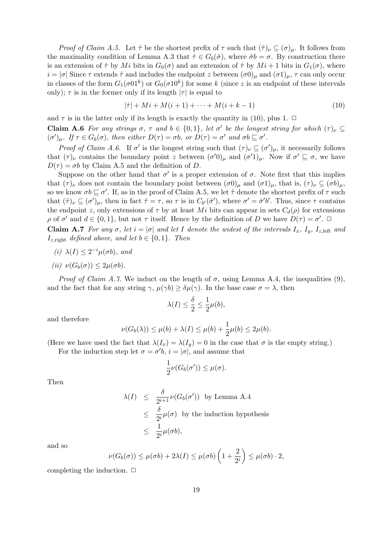*Proof of Claim A.5.* Let  $\hat{\tau}$  be the shortest prefix of  $\tau$  such that  $(\hat{\tau})_{\nu} \subseteq (\sigma)_{\mu}$ . It follows from the maximality condition of Lemma A.3 that  $\hat{\tau} \in G_b(\hat{\sigma})$ , where  $\hat{\sigma}b = \sigma$ . By construction there is an extension of  $\hat{\tau}$  by Mi bits in  $G_0(\sigma)$  and an extension of  $\hat{\tau}$  by  $Mi + 1$  bits in  $G_1(\sigma)$ , where  $i = |\sigma|$  Since  $\tau$  extends  $\hat{\tau}$  and includes the endpoint z between  $(\sigma \theta)_{\mu}$  and  $(\sigma \theta)_{\mu}$ ,  $\tau$  can only occur in classes of the form  $G_1(\sigma 01^k)$  or  $G_0(\sigma 10^k)$  for some k (since z is an endpoint of these intervals only);  $\tau$  is in the former only if its length  $|\tau|$  is equal to

$$
|\hat{\tau}| + Mi + M(i+1) + \dots + M(i+k-1)
$$
\n(10)

and  $\tau$  is in the latter only if its length is exactly the quantity in (10), plus 1.  $\Box$ **Claim A.6** For any strings  $\sigma$ ,  $\tau$  and  $b \in \{0,1\}$ , let  $\sigma'$  be the longest string for which  $(\tau)_{\nu} \subseteq$  $(\sigma')_{\mu}$ . If  $\tau \in G_b(\sigma)$ , then either  $D(\tau) = \sigma b$ , or  $D(\tau) = \sigma'$  and  $\sigma b \sqsubseteq \sigma'$ .

Proof of Claim A.6. If  $\sigma'$  is the longest string such that  $(\tau)_{\nu} \subseteq (\sigma')_{\mu}$ , it necessarily follows that  $(\tau)_{\nu}$  contains the boundary point z between  $(\sigma'0)_{\mu}$  and  $(\sigma'1)_{\mu}$ . Now if  $\sigma' \sqsubseteq \sigma$ , we have  $D(\tau) = \sigma b$  by Claim A.5 and the definition of D.

Suppose on the other hand that  $\sigma'$  is a proper extension of  $\sigma$ . Note first that this implies that  $(\tau)_\nu$  does not contain the boundary point between  $(\sigma 0)_\mu$  and  $(\sigma 1)_\mu$ , that is,  $(\tau)_\nu \subseteq (\sigma b)_\mu$ , so we know  $\sigma b \sqsubseteq \sigma'$ . If, as in the proof of Claim A.5, we let  $\hat{\tau}$  denote the shortest prefix of  $\tau$  such that  $(\hat{\tau})_{\nu} \subseteq (\sigma')_{\mu}$ , then in fact  $\hat{\tau} = \tau$ , so  $\tau$  is in  $C_{b'}(\hat{\sigma}')$ , where  $\sigma' = \hat{\sigma}' b'$ . Thus, since  $\tau$  contains the endpoint z, only extensions of  $\tau$  by at least Mi bits can appear in sets  $C_d(\rho)$  for extensions  $\rho$  of  $\sigma'$  and  $d \in \{0,1\}$ , but not  $\tau$  itself. Hence by the definition of D we have  $D(\tau) = \sigma'$ .  $\Box$ 

Claim A.7 For any  $\sigma$ , let  $i = |\sigma|$  and let I denote the widest of the intervals  $I_x$ ,  $I_y$ ,  $I_z$ , left and  $I_{z,\text{right}}$  defined above, and let  $b \in \{0,1\}$ . Then

(i) 
$$
\lambda(I) \leq 2^{-i} \mu(\sigma b)
$$
, and

(ii)  $\nu(G_b(\sigma)) \leq 2\mu(\sigma b)$ .

*Proof of Claim A.7.* We induct on the length of  $\sigma$ , using Lemma A.4, the inequalities (9), and the fact that for any string  $\gamma$ ,  $\mu(\gamma b) \geq \delta \mu(\gamma)$ . In the base case  $\sigma = \lambda$ , then

$$
\lambda(I) \le \frac{\delta}{2} \le \frac{1}{2}\mu(b),
$$

and therefore

$$
\nu(G_b(\lambda)) \le \mu(b) + \lambda(I) \le \mu(b) + \frac{1}{2}\mu(b) \le 2\mu(b).
$$

(Here we have used the fact that  $\lambda(I_x) = \lambda(I_y) = 0$  in the case that  $\sigma$  is the empty string.)

For the induction step let  $\sigma = \sigma' b$ ,  $i = |\sigma|$ , and assume that

$$
\frac{1}{2}\nu(G_b(\sigma')) \leq \mu(\sigma).
$$

Then

$$
\lambda(I) \leq \frac{\delta}{2^{i+1}} \nu(G_b(\sigma')) \text{ by Lemma A.4}
$$
  

$$
\leq \frac{\delta}{2^i} \mu(\sigma) \text{ by the induction hypothesis}
$$
  

$$
\leq \frac{1}{2^i} \mu(\sigma b),
$$

and so

$$
\nu(G_b(\sigma)) \le \mu(\sigma b) + 2\lambda(I) \le \mu(\sigma b)\left(1 + \frac{2}{2^i}\right) \le \mu(\sigma b) \cdot 2,
$$

completing the induction.  $\Box$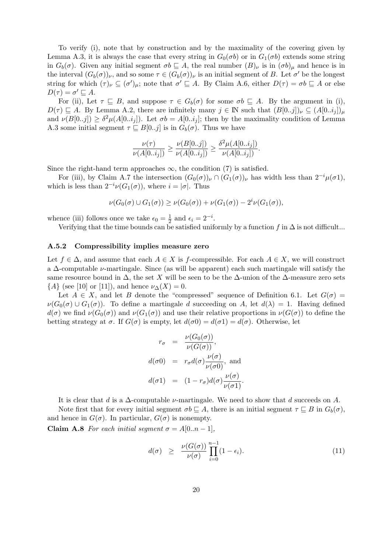To verify (i), note that by construction and by the maximality of the covering given by Lemma A.3, it is always the case that every string in  $G_0(\sigma b)$  or in  $G_1(\sigma b)$  extends some string in  $G_b(\sigma)$ . Given any initial segment  $\sigma b \subseteq A$ , the real number  $(B)_{\nu}$  is in  $(\sigma b)_{\mu}$  and hence is in the interval  $(G_b(\sigma))_\nu$ , and so some  $\tau \in (G_b(\sigma))_\nu$  is an initial segment of B. Let  $\sigma'$  be the longest string for which  $(\tau)_{\nu} \subseteq (\sigma')_{\mu}$ ; note that  $\sigma' \sqsubseteq A$ . By Claim A.6, either  $D(\tau) = \sigma b \sqsubseteq A$  or else  $D(\tau) = \sigma' \sqsubseteq A$ .

For (ii), Let  $\tau \subseteq B$ , and suppose  $\tau \in G_b(\sigma)$  for some  $\sigma b \subseteq A$ . By the argument in (i),  $D(\tau) \subseteq A$ . By Lemma A.2, there are infinitely many  $j \in \mathbb{N}$  such that  $(B[0..j])_{\nu} \subseteq (A[0..i_j])_{\mu}$ and  $\nu(B[0..j]) \geq \delta^2 \mu(A[0..i_j])$ . Let  $\sigma b = A[0..i_j]$ ; then by the maximality condition of Lemma A.3 some initial segment  $\tau \subseteq B[0..j]$  is in  $G_b(\sigma)$ . Thus we have

$$
\frac{\nu(\tau)}{\nu(A[0..i_j])} \ge \frac{\nu(B[0..j])}{\nu(A[0..i_j])} \ge \frac{\delta^2 \mu(A[0..i_j])}{\nu(A[0..i_j])}.
$$

Since the right-hand term approaches  $\infty$ , the condition (7) is satisfied.

For (iii), by Claim A.7 the intersection  $(G_0(\sigma))_{\nu} \cap (G_1(\sigma))_{\nu}$  has width less than  $2^{-i}\mu(\sigma 1)$ , which is less than  $2^{-i}\nu(G_1(\sigma))$ , where  $i = |\sigma|$ . Thus

$$
\nu(G_0(\sigma)\cup G_1(\sigma))\geq \nu(G_0(\sigma))+\nu(G_1(\sigma))-2^i\nu(G_1(\sigma)),
$$

whence (iii) follows once we take  $\epsilon_0 = \frac{1}{2}$  $\frac{1}{2}$  and  $\epsilon_i = 2^{-i}$ .

Verifying that the time bounds can be satisfied uniformly by a function f in  $\Delta$  is not difficult...

### A.5.2 Compressibility implies measure zero

Let  $f \in \Delta$ , and assume that each  $A \in X$  is f-compressible. For each  $A \in X$ , we will construct a  $\Delta$ -computable  $\nu$ -martingale. Since (as will be apparent) each such martingale will satisfy the same resource bound in  $\Delta$ , the set X will be seen to be the  $\Delta$ -union of the  $\Delta$ -measure zero sets  ${A}$  (see [10] or [11]), and hence  $\nu_{\Lambda}(X) = 0$ .

Let  $A \in X$ , and let B denote the "compressed" sequence of Definition 6.1. Let  $G(\sigma)$  =  $\nu(G_0(\sigma) \cup G_1(\sigma))$ . To define a martingale d succeeding on A, let  $d(\lambda) = 1$ . Having defined  $d(\sigma)$  we find  $\nu(G_0(\sigma))$  and  $\nu(G_1(\sigma))$  and use their relative proportions in  $\nu(G(\sigma))$  to define the betting strategy at  $\sigma$ . If  $G(\sigma)$  is empty, let  $d(\sigma 0) = d(\sigma 1) = d(\sigma)$ . Otherwise, let

$$
r_{\sigma} = \frac{\nu(G_0(\sigma))}{\nu(G(\sigma))},
$$
  
\n
$$
d(\sigma 0) = r_{\sigma} d(\sigma) \frac{\nu(\sigma)}{\nu(\sigma 0)}, \text{ and}
$$
  
\n
$$
d(\sigma 1) = (1 - r_{\sigma}) d(\sigma) \frac{\nu(\sigma)}{\nu(\sigma 1)}.
$$

It is clear that d is a  $\Delta$ -computable  $\nu$ -martingale. We need to show that d succeeds on A.

Note first that for every initial segment  $\sigma b \subseteq A$ , there is an initial segment  $\tau \subseteq B$  in  $G_b(\sigma)$ , and hence in  $G(\sigma)$ . In particular,  $G(\sigma)$  is nonempty.

Claim A.8 For each initial segment  $\sigma = A[0..n-1],$ 

$$
d(\sigma) \geq \frac{\nu(G(\sigma))}{\nu(\sigma)} \prod_{i=0}^{n-1} (1 - \epsilon_i). \tag{11}
$$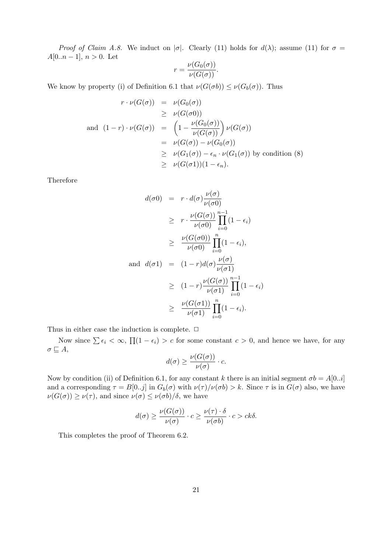Proof of Claim A.8. We induct on  $|\sigma|$ . Clearly (11) holds for  $d(\lambda)$ ; assume (11) for  $\sigma =$  $A[0..n-1], n > 0.$  Let

$$
r = \frac{\nu(G_0(\sigma))}{\nu(G(\sigma))}.
$$

We know by property (i) of Definition 6.1 that  $\nu(G(\sigma b)) \leq \nu(G_b(\sigma))$ . Thus

$$
r \cdot \nu(G(\sigma)) = \nu(G_0(\sigma))
$$
  
\n
$$
\geq \nu(G(\sigma 0))
$$
  
\nand 
$$
(1 - r) \cdot \nu(G(\sigma)) = \left(1 - \frac{\nu(G_0(\sigma))}{\nu(G(\sigma))}\right) \nu(G(\sigma))
$$
  
\n
$$
= \nu(G(\sigma)) - \nu(G_0(\sigma))
$$
  
\n
$$
\geq \nu(G_1(\sigma)) - \epsilon_n \cdot \nu(G_1(\sigma)) \text{ by condition (8)}
$$
  
\n
$$
\geq \nu(G(\sigma 1))(1 - \epsilon_n).
$$

Therefore

$$
d(\sigma 0) = r \cdot d(\sigma) \frac{\nu(\sigma)}{\nu(\sigma 0)}
$$
  
\n
$$
\geq r \cdot \frac{\nu(G(\sigma))}{\nu(\sigma 0)} \prod_{i=0}^{n-1} (1 - \epsilon_i)
$$
  
\n
$$
\geq \frac{\nu(G(\sigma 0))}{\nu(\sigma 0)} \prod_{i=0}^{n} (1 - \epsilon_i),
$$
  
\nand 
$$
d(\sigma 1) = (1 - r) d(\sigma) \frac{\nu(\sigma)}{\nu(\sigma 1)}
$$
  
\n
$$
\geq (1 - r) \frac{\nu(G(\sigma))}{\nu(\sigma 1)} \prod_{i=0}^{n-1} (1 - \epsilon_i)
$$
  
\n
$$
\geq \frac{\nu(G(\sigma 1))}{\nu(\sigma 1)} \prod_{i=0}^{n} (1 - \epsilon_i).
$$

Thus in either case the induction is complete.  $\Box$ 

Now since  $\sum \epsilon_i < \infty$ ,  $\prod (1 - \epsilon_i) > c$  for some constant  $c > 0$ , and hence we have, for any  $\sigma \sqsubseteq A,$ 

$$
d(\sigma) \ge \frac{\nu(G(\sigma))}{\nu(\sigma)} \cdot c.
$$

Now by condition (ii) of Definition 6.1, for any constant k there is an initial segment  $\sigma b = A[0..i]$ and a corresponding  $\tau = B[0..j]$  in  $G_b(\sigma)$  with  $\nu(\tau)/\nu(\sigma b) > k$ . Since  $\tau$  is in  $G(\sigma)$  also, we have  $\nu(G(\sigma)) \geq \nu(\tau)$ , and since  $\nu(\sigma) \leq \nu(\sigma b)/\delta$ , we have

$$
d(\sigma) \ge \frac{\nu(G(\sigma))}{\nu(\sigma)} \cdot c \ge \frac{\nu(\tau) \cdot \delta}{\nu(\sigma b)} \cdot c > ck\delta.
$$

This completes the proof of Theorem 6.2.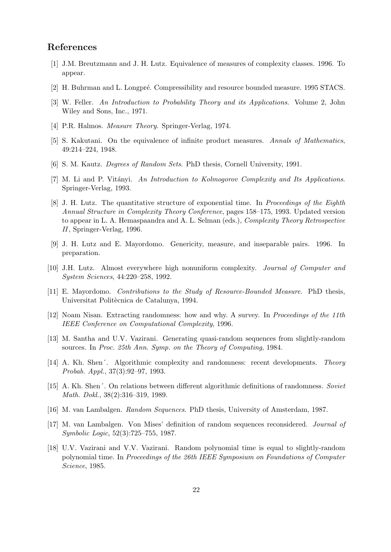# References

- [1] J.M. Breutzmann and J. H. Lutz. Equivalence of measures of complexity classes. 1996. To appear.
- [2] H. Buhrman and L. Longpr´e. Compressibility and resource bounded measure. 1995 STACS.
- [3] W. Feller. An Introduction to Probability Theory and its Applications. Volume 2, John Wiley and Sons, Inc., 1971.
- [4] P.R. Halmos. Measure Theory. Springer-Verlag, 1974.
- [5] S. Kakutani. On the equivalence of infinite product measures. Annals of Mathematics, 49:214–224, 1948.
- [6] S. M. Kautz. Degrees of Random Sets. PhD thesis, Cornell University, 1991.
- [7] M. Li and P. Vitányi. An Introduction to Kolmogorov Complexity and Its Applications. Springer-Verlag, 1993.
- [8] J. H. Lutz. The quantitative structure of exponential time. In Proceedings of the Eighth Annual Structure in Complexity Theory Conference, pages 158–175, 1993. Updated version to appear in L. A. Hemaspaandra and A. L. Selman (eds.), Complexity Theory Retrospective II, Springer-Verlag, 1996.
- [9] J. H. Lutz and E. Mayordomo. Genericity, measure, and inseparable pairs. 1996. In preparation.
- [10] J.H. Lutz. Almost everywhere high nonuniform complexity. Journal of Computer and System Sciences, 44:220–258, 1992.
- [11] E. Mayordomo. Contributions to the Study of Resource-Bounded Measure. PhD thesis, Universitat Politècnica de Catalunya, 1994.
- [12] Noam Nisan. Extracting randomness: how and why. A survey. In Proceedings of the 11th IEEE Conference on Computational Complexity, 1996.
- [13] M. Santha and U.V. Vazirani. Generating quasi-random sequences from slightly-random sources. In Proc. 25th Ann. Symp. on the Theory of Computing, 1984.
- [14] A. Kh. Shen´. Algorithmic complexity and randomness: recent developments. Theory Probab. Appl., 37(3):92–97, 1993.
- [15] A. Kh. Shen´. On relations between different algorithmic definitions of randomness. Soviet Math. Dokl., 38(2):316–319, 1989.
- [16] M. van Lambalgen. Random Sequences. PhD thesis, University of Amsterdam, 1987.
- [17] M. van Lambalgen. Von Mises' definition of random sequences reconsidered. Journal of Symbolic Logic, 52(3):725–755, 1987.
- [18] U.V. Vazirani and V.V. Vazirani. Random polynomial time is equal to slightly-random polynomial time. In Proceedings of the 26th IEEE Symposium on Foundations of Computer Science, 1985.